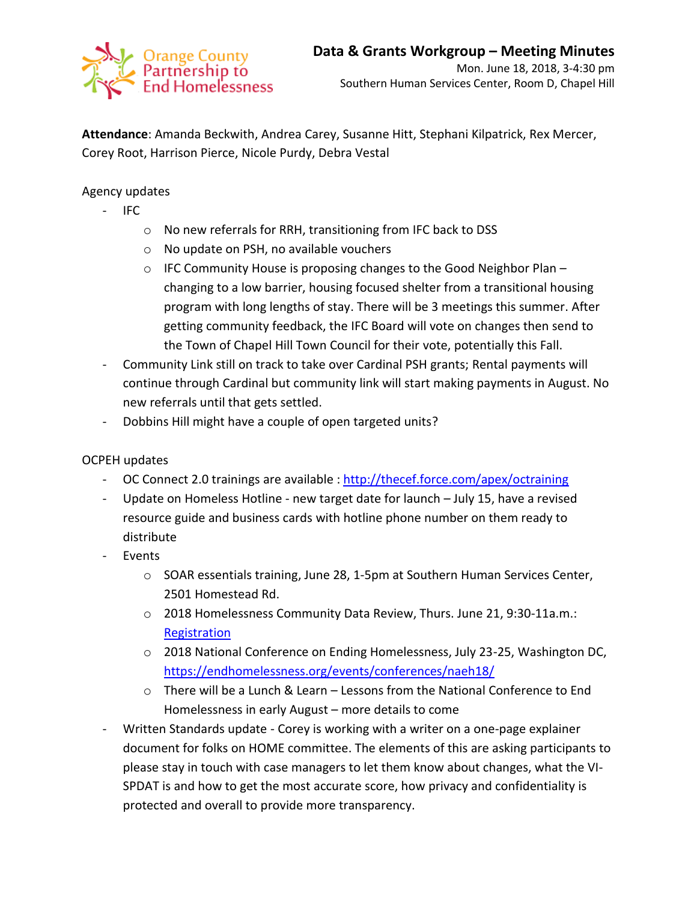

**Attendance**: Amanda Beckwith, Andrea Carey, Susanne Hitt, Stephani Kilpatrick, Rex Mercer, Corey Root, Harrison Pierce, Nicole Purdy, Debra Vestal

Agency updates

- IFC
	- o No new referrals for RRH, transitioning from IFC back to DSS
	- o No update on PSH, no available vouchers
	- o IFC Community House is proposing changes to the Good Neighbor Plan changing to a low barrier, housing focused shelter from a transitional housing program with long lengths of stay. There will be 3 meetings this summer. After getting community feedback, the IFC Board will vote on changes then send to the Town of Chapel Hill Town Council for their vote, potentially this Fall.
- Community Link still on track to take over Cardinal PSH grants; Rental payments will continue through Cardinal but community link will start making payments in August. No new referrals until that gets settled.
- Dobbins Hill might have a couple of open targeted units?

## OCPEH updates

- OC Connect 2.0 trainings are available [: http://thecef.force.com/apex/octraining](http://thecef.force.com/apex/octraining)
- Update on Homeless Hotline new target date for launch July 15, have a revised resource guide and business cards with hotline phone number on them ready to distribute
- **Events** 
	- o SOAR essentials training, June 28, 1-5pm at Southern Human Services Center, 2501 Homestead Rd.
	- o 2018 Homelessness Community Data Review, Thurs. June 21, 9:30-11a.m.: **[Registration](https://www.eventbrite.com/e/2018-homelessness-community-data-review-tickets-44925443210)**
	- o 2018 National Conference on Ending Homelessness, July 23-25, Washington DC, <https://endhomelessness.org/events/conferences/naeh18/>
	- $\circ$  There will be a Lunch & Learn Lessons from the National Conference to End Homelessness in early August – more details to come
- Written Standards update Corey is working with a writer on a one-page explainer document for folks on HOME committee. The elements of this are asking participants to please stay in touch with case managers to let them know about changes, what the VI-SPDAT is and how to get the most accurate score, how privacy and confidentiality is protected and overall to provide more transparency.